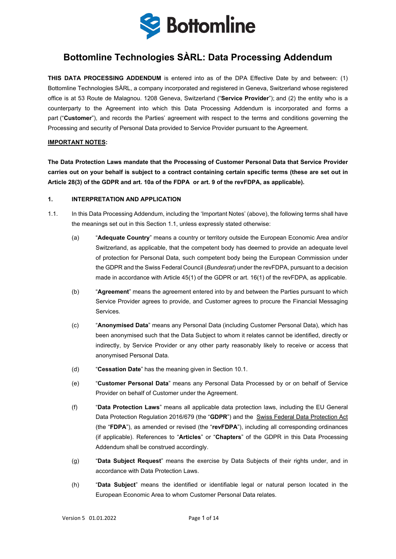

## **Bottomline Technologies SÀRL: Data Processing Addendum**

**THIS DATA PROCESSING ADDENDUM** is entered into as of the DPA Effective Date by and between: (1) Bottomline Technologies SÀRL, a company incorporated and registered in Geneva, Switzerland whose registered office is at 53 Route de Malagnou. 1208 Geneva, Switzerland ("**Service Provider**"); and (2) the entity who is a counterparty to the Agreement into which this Data Processing Addendum is incorporated and forms a part ("**Customer**"), and records the Parties' agreement with respect to the terms and conditions governing the Processing and security of Personal Data provided to Service Provider pursuant to the Agreement.

#### **IMPORTANT NOTES:**

**The Data Protection Laws mandate that the Processing of Customer Personal Data that Service Provider carries out on your behalf is subject to a contract containing certain specific terms (these are set out in Article 28(3) of the GDPR and art. 10a of the FDPA or art. 9 of the revFDPA, as applicable).**

#### **1. INTERPRETATION AND APPLICATION**

- <span id="page-0-0"></span>1.1. In this Data Processing Addendum, including the 'Important Notes' (above), the following terms shall have the meanings set out in this Section [1.1,](#page-0-0) unless expressly stated otherwise:
	- (a) "**Adequate Country**" means a country or territory outside the European Economic Area and/or Switzerland, as applicable, that the competent body has deemed to provide an adequate level of protection for Personal Data, such competent body being the European Commission under the GDPR and the Swiss Federal Council (*Bundesrat*) under the revFDPA, pursuant to a decision made in accordance with Article 45(1) of the GDPR or art. 16(1) of the revFDPA, as applicable.
	- (b) "**Agreement**" means the agreement entered into by and between the Parties pursuant to which Service Provider agrees to provide, and Customer agrees to procure the Financial Messaging Services.
	- (c) "**Anonymised Data**" means any Personal Data (including Customer Personal Data), which has been anonymised such that the Data Subject to whom it relates cannot be identified, directly or indirectly, by Service Provider or any other party reasonably likely to receive or access that anonymised Personal Data.
	- (d) "**Cessation Date**" has the meaning given in Section [10.1.](#page-6-0)
	- (e) "**Customer Personal Data**" means any Personal Data Processed by or on behalf of Service Provider on behalf of Customer under the Agreement.
	- (f) "**Data Protection Laws**" means all applicable data protection laws, including the EU General Data Protection Regulation 2016/679 (the "**GDPR**") and the Swiss Federal Data Protection Act (the "**FDPA**"), as amended or revised (the "**revFDPA**"), including all corresponding ordinances (if applicable). References to "**Articles**" or "**Chapters**" of the GDPR in this Data Processing Addendum shall be construed accordingly.
	- (g) "**Data Subject Request**" means the exercise by Data Subjects of their rights under, and in accordance with Data Protection Laws.
	- (h) "**Data Subject**" means the identified or identifiable legal or natural person located in the European Economic Area to whom Customer Personal Data relates.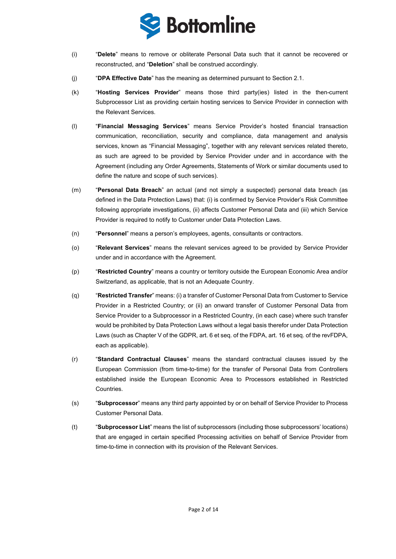

- (i) "**Delete**" means to remove or obliterate Personal Data such that it cannot be recovered or reconstructed, and "**Deletion**" shall be construed accordingly.
- (j) "**DPA Effective Date**" has the meaning as determined pursuant to Section 2.1.
- (k) "**Hosting Services Provider**" means those third party(ies) listed in the then-current Subprocessor List as providing certain hosting services to Service Provider in connection with the Relevant Services.
- (l) "**Financial Messaging Services**" means Service Provider's hosted financial transaction communication, reconciliation, security and compliance, data management and analysis services, known as "Financial Messaging", together with any relevant services related thereto, as such are agreed to be provided by Service Provider under and in accordance with the Agreement (including any Order Agreements, Statements of Work or similar documents used to define the nature and scope of such services).
- (m) "**Personal Data Breach**" an actual (and not simply a suspected) personal data breach (as defined in the Data Protection Laws) that: (i) is confirmed by Service Provider's Risk Committee following appropriate investigations, (ii) affects Customer Personal Data and (iii) which Service Provider is required to notify to Customer under Data Protection Laws.
- (n) "**Personnel**" means a person's employees, agents, consultants or contractors.
- (o) "**Relevant Services**" means the relevant services agreed to be provided by Service Provider under and in accordance with the Agreement.
- (p) "**Restricted Country**" means a country or territory outside the European Economic Area and/or Switzerland, as applicable, that is not an Adequate Country.
- (q) "**Restricted Transfer**" means: (i) a transfer of Customer Personal Data from Customer to Service Provider in a Restricted Country; or (ii) an onward transfer of Customer Personal Data from Service Provider to a Subprocessor in a Restricted Country, (in each case) where such transfer would be prohibited by Data Protection Laws without a legal basis therefor under Data Protection Laws (such as Chapter V of the GDPR, art. 6 et seq. of the FDPA, art. 16 et seq. of the revFDPA, each as applicable).
- (r) "**Standard Contractual Clauses**" means the standard contractual clauses issued by the European Commission (from time-to-time) for the transfer of Personal Data from Controllers established inside the European Economic Area to Processors established in Restricted Countries.
- (s) "**Subprocessor**" means any third party appointed by or on behalf of Service Provider to Process Customer Personal Data.
- (t) "**Subprocessor List**" means the list of subprocessors (including those subprocessors' locations) that are engaged in certain specified Processing activities on behalf of Service Provider from time-to-time in connection with its provision of the Relevant Services.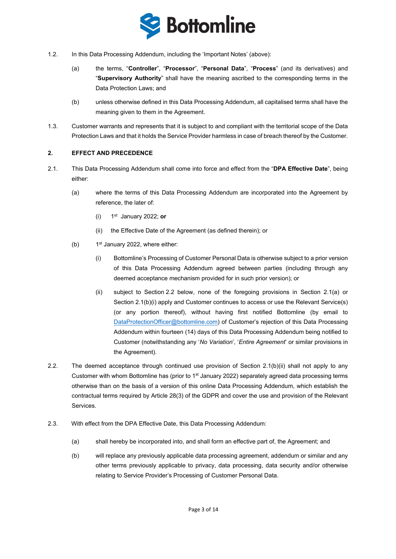

- 1.2. In this Data Processing Addendum, including the 'Important Notes' (above):
	- (a) the terms, "**Controller**", "**Processor**", "**Personal Data**", "**Process**" (and its derivatives) and "**Supervisory Authority**" shall have the meaning ascribed to the corresponding terms in the Data Protection Laws; and
	- (b) unless otherwise defined in this Data Processing Addendum, all capitalised terms shall have the meaning given to them in the Agreement.
- 1.3. Customer warrants and represents that it is subject to and compliant with the territorial scope of the Data Protection Laws and that it holds the Service Provider harmless in case of breach thereof by the Customer.

### **2. EFFECT AND PRECEDENCE**

- <span id="page-2-4"></span><span id="page-2-3"></span><span id="page-2-2"></span><span id="page-2-1"></span>2.1. This Data Processing Addendum shall come into force and effect from the "**DPA Effective Date**", being either:
	- (a) where the terms of this Data Processing Addendum are incorporated into the Agreement by reference, the later of:
		- (i) 1st January 2022; **or**
		- (ii) the Effective Date of the Agreement (as defined therein); or
	- (b)  $1<sup>st</sup>$  January 2022, where either:
		- (i) Bottomline's Processing of Customer Personal Data is otherwise subject to a prior version of this Data Processing Addendum agreed between parties (including through any deemed acceptance mechanism provided for in such prior version); or
		- (ii) subject to Section [2.2](#page-2-0) below, none of the foregoing provisions in Section [2.1](#page-2-1)[\(a\)](#page-2-2) or Section [2.1](#page-2-1)[\(b\)](#page-2-3)[\(i\)](#page-2-4) apply and Customer continues to access or use the Relevant Service(s) (or any portion thereof), without having first notified Bottomline (by email to [DataProtectionOfficer@bottomline.com\)](mailto:DataProtectionOfficer@bottomline.com) of Customer's rejection of this Data Processing Addendum within fourteen (14) days of this Data Processing Addendum being notified to Customer (notwithstanding any '*No Variation*', '*Entire Agreement*' or similar provisions in the Agreement).
- <span id="page-2-5"></span><span id="page-2-0"></span>2.2. The deemed acceptance through continued use provision of Section [2.1](#page-2-1)[\(b\)](#page-2-3)[\(ii\)](#page-2-5) shall not apply to any Customer with whom Bottomline has (prior to  $1<sup>st</sup>$  January 2022) separately agreed data processing terms otherwise than on the basis of a version of this online Data Processing Addendum, which establish the contractual terms required by Article 28(3) of the GDPR and cover the use and provision of the Relevant Services.
- 2.3. With effect from the DPA Effective Date, this Data Processing Addendum:
	- (a) shall hereby be incorporated into, and shall form an effective part of, the Agreement; and
	- (b) will replace any previously applicable data processing agreement, addendum or similar and any other terms previously applicable to privacy, data processing, data security and/or otherwise relating to Service Provider's Processing of Customer Personal Data.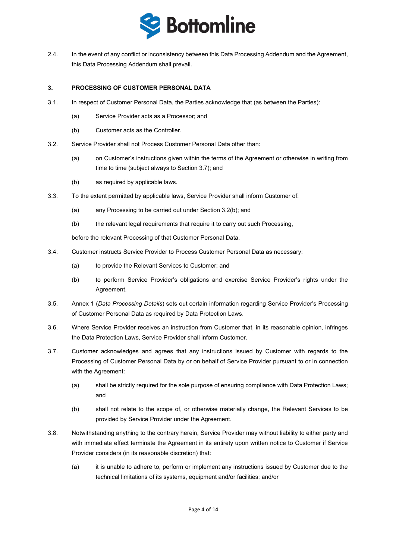

2.4. In the event of any conflict or inconsistency between this Data Processing Addendum and the Agreement, this Data Processing Addendum shall prevail.

#### **3. PROCESSING OF CUSTOMER PERSONAL DATA**

- 3.1. In respect of Customer Personal Data, the Parties acknowledge that (as between the Parties):
	- (a) Service Provider acts as a Processor; and
	- (b) Customer acts as the Controller.
- 3.2. Service Provider shall not Process Customer Personal Data other than:
	- (a) on Customer's instructions given within the terms of the Agreement or otherwise in writing from time to time (subject always to Section [3.7\)](#page-3-0); and
	- (b) as required by applicable laws.
- <span id="page-3-1"></span>3.3. To the extent permitted by applicable laws, Service Provider shall inform Customer of:
	- (a) any Processing to be carried out under Section [3.2\(b\);](#page-3-1) and
	- (b) the relevant legal requirements that require it to carry out such Processing,

before the relevant Processing of that Customer Personal Data.

- 3.4. Customer instructs Service Provider to Process Customer Personal Data as necessary:
	- (a) to provide the Relevant Services to Customer; and
	- (b) to perform Service Provider's obligations and exercise Service Provider's rights under the Agreement.
- 3.5. [Annex 1](#page-12-0) (*Data Processing Details*) sets out certain information regarding Service Provider's Processing of Customer Personal Data as required by Data Protection Laws.
- 3.6. Where Service Provider receives an instruction from Customer that, in its reasonable opinion, infringes the Data Protection Laws, Service Provider shall inform Customer.
- <span id="page-3-0"></span>3.7. Customer acknowledges and agrees that any instructions issued by Customer with regards to the Processing of Customer Personal Data by or on behalf of Service Provider pursuant to or in connection with the Agreement:
	- (a) shall be strictly required for the sole purpose of ensuring compliance with Data Protection Laws; and
	- (b) shall not relate to the scope of, or otherwise materially change, the Relevant Services to be provided by Service Provider under the Agreement.
- 3.8. Notwithstanding anything to the contrary herein, Service Provider may without liability to either party and with immediate effect terminate the Agreement in its entirety upon written notice to Customer if Service Provider considers (in its reasonable discretion) that:
	- (a) it is unable to adhere to, perform or implement any instructions issued by Customer due to the technical limitations of its systems, equipment and/or facilities; and/or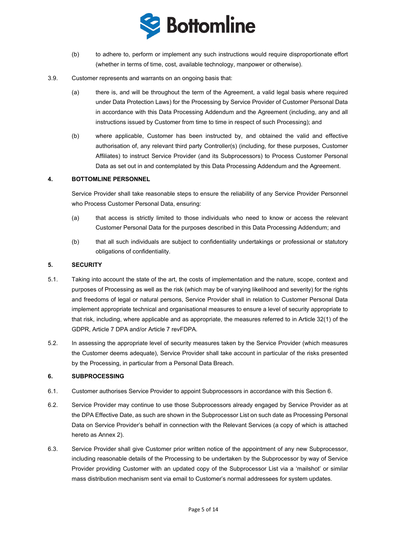

- <span id="page-4-4"></span>(b) to adhere to, perform or implement any such instructions would require disproportionate effort (whether in terms of time, cost, available technology, manpower or otherwise).
- 3.9. Customer represents and warrants on an ongoing basis that:
	- (a) there is, and will be throughout the term of the Agreement, a valid legal basis where required under Data Protection Laws) for the Processing by Service Provider of Customer Personal Data in accordance with this Data Processing Addendum and the Agreement (including, any and all instructions issued by Customer from time to time in respect of such Processing); and
	- (b) where applicable, Customer has been instructed by, and obtained the valid and effective authorisation of, any relevant third party Controller(s) (including, for these purposes, Customer Affiliates) to instruct Service Provider (and its Subprocessors) to Process Customer Personal Data as set out in and contemplated by this Data Processing Addendum and the Agreement.

### **4. BOTTOMLINE PERSONNEL**

Service Provider shall take reasonable steps to ensure the reliability of any Service Provider Personnel who Process Customer Personal Data, ensuring:

- (a) that access is strictly limited to those individuals who need to know or access the relevant Customer Personal Data for the purposes described in this Data Processing Addendum; and
- (b) that all such individuals are subject to confidentiality undertakings or professional or statutory obligations of confidentiality.

#### <span id="page-4-3"></span>**5. SECURITY**

- 5.1. Taking into account the state of the art, the costs of implementation and the nature, scope, context and purposes of Processing as well as the risk (which may be of varying likelihood and severity) for the rights and freedoms of legal or natural persons, Service Provider shall in relation to Customer Personal Data implement appropriate technical and organisational measures to ensure a level of security appropriate to that risk, including, where applicable and as appropriate, the measures referred to in Article 32(1) of the GDPR, Article 7 DPA and/or Article 7 revFDPA.
- 5.2. In assessing the appropriate level of security measures taken by the Service Provider (which measures the Customer deems adequate), Service Provider shall take account in particular of the risks presented by the Processing, in particular from a Personal Data Breach.

#### <span id="page-4-0"></span>**6. SUBPROCESSING**

- 6.1. Customer authorises Service Provider to appoint Subprocessors in accordance with this Section [6.](#page-4-0)
- <span id="page-4-2"></span>6.2. Service Provider may continue to use those Subprocessors already engaged by Service Provider as at the DPA Effective Date, as such are shown in the Subprocessor List on such date as Processing Personal Data on Service Provider's behalf in connection with the Relevant Services (a copy of which is attached hereto as Annex 2).
- <span id="page-4-1"></span>6.3. Service Provider shall give Customer prior written notice of the appointment of any new Subprocessor, including reasonable details of the Processing to be undertaken by the Subprocessor by way of Service Provider providing Customer with an updated copy of the Subprocessor List via a 'mailshot' or similar mass distribution mechanism sent via email to Customer's normal addressees for system updates.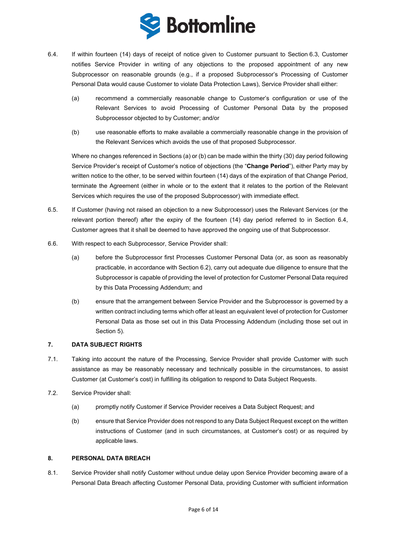

- <span id="page-5-2"></span><span id="page-5-0"></span>6.4. If within fourteen (14) days of receipt of notice given to Customer pursuant to Section [6.3,](#page-4-1) Customer notifies Service Provider in writing of any objections to the proposed appointment of any new Subprocessor on reasonable grounds (e.g., if a proposed Subprocessor's Processing of Customer Personal Data would cause Customer to violate Data Protection Laws), Service Provider shall either:
	- (a) recommend a commercially reasonable change to Customer's configuration or use of the Relevant Services to avoid Processing of Customer Personal Data by the proposed Subprocessor objected to by Customer; and/or
	- (b) use reasonable efforts to make available a commercially reasonable change in the provision of the Relevant Services which avoids the use of that proposed Subprocessor.

<span id="page-5-1"></span>Where no changes referenced in Section[s \(a\)](#page-5-0) or [\(b\)](#page-5-1) can be made within the thirty (30) day period following Service Provider's receipt of Customer's notice of objections (the "**Change Period**"), either Party may by written notice to the other, to be served within fourteen (14) days of the expiration of that Change Period, terminate the Agreement (either in whole or to the extent that it relates to the portion of the Relevant Services which requires the use of the proposed Subprocessor) with immediate effect.

- 6.5. If Customer (having not raised an objection to a new Subprocessor) uses the Relevant Services (or the relevant portion thereof) after the expiry of the fourteen (14) day period referred to in Section [6.4,](#page-5-2) Customer agrees that it shall be deemed to have approved the ongoing use of that Subprocessor.
- 6.6. With respect to each Subprocessor, Service Provider shall:
	- (a) before the Subprocessor first Processes Customer Personal Data (or, as soon as reasonably practicable, in accordance with Section [6.2\)](#page-4-2), carry out adequate due diligence to ensure that the Subprocessor is capable of providing the level of protection for Customer Personal Data required by this Data Processing Addendum; and
	- (b) ensure that the arrangement between Service Provider and the Subprocessor is governed by a written contract including terms which offer at least an equivalent level of protection for Customer Personal Data as those set out in this Data Processing Addendum (including those set out in Section [5\)](#page-4-3).

#### **7. DATA SUBJECT RIGHTS**

- 7.1. Taking into account the nature of the Processing, Service Provider shall provide Customer with such assistance as may be reasonably necessary and technically possible in the circumstances, to assist Customer (at Customer's cost) in fulfilling its obligation to respond to Data Subject Requests.
- 7.2. Service Provider shall:
	- (a) promptly notify Customer if Service Provider receives a Data Subject Request; and
	- (b) ensure that Service Provider does not respond to any Data Subject Request except on the written instructions of Customer (and in such circumstances, at Customer's cost) or as required by applicable laws.

#### **8. PERSONAL DATA BREACH**

8.1. Service Provider shall notify Customer without undue delay upon Service Provider becoming aware of a Personal Data Breach affecting Customer Personal Data, providing Customer with sufficient information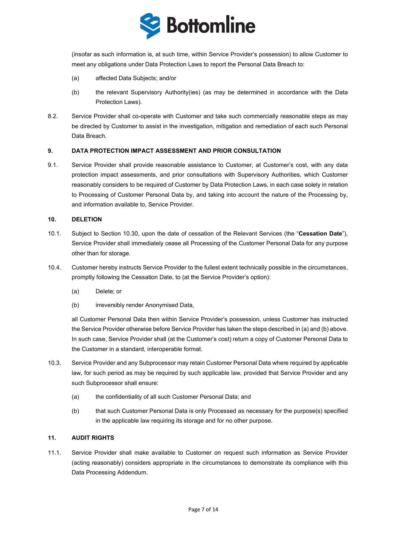

<span id="page-6-1"></span>(insofar as such information is, at such time, within Service Provider's possession) to allow Customer to meet any obligations under Data Protection Laws to report the Personal Data Breach to:

- (a) affected Data Subjects; and/or
- (b) the relevant Supervisory Authority(ies) (as may be determined in accordance with the Data Protection Laws).
- 8.2. Service Provider shall co-operate with Customer and take such commercially reasonable steps as may be directed by Customer to assist in the investigation, mitigation and remediation of each such Personal Data Breach.

### **9. DATA PROTECTION IMPACT ASSESSMENT AND PRIOR CONSULTATION**

9.1. Service Provider shall provide reasonable assistance to Customer, at Customer's cost, with any data protection impact assessments, and prior consultations with Supervisory Authorities, which Customer reasonably considers to be required of Customer by Data Protection Laws, in each case solely in relation to Processing of Customer Personal Data by, and taking into account the nature of the Processing by, and information available to, Service Provider.

#### **10. DELETION**

- <span id="page-6-0"></span>10.1. Subject to Section 10.[30,](#page-6-2) upon the date of cessation of the Relevant Services (the "**Cessation Date**"), Service Provider shall immediately cease all Processing of the Customer Personal Data for any purpose other than for storage.
- <span id="page-6-3"></span>10.4. Customer hereby instructs Service Provider to the fullest extent technically possible in the circumstances, promptly following the Cessation Date, to (at the Service Provider's option):
	- (a) Delete; or
	- (b) irreversibly render Anonymised Data,

<span id="page-6-4"></span><span id="page-6-2"></span>all Customer Personal Data then within Service Provider's possession, unless Customer has instructed the Service Provider otherwise before Service Provider has taken the steps described i[n \(a\)](#page-6-3) an[d \(b\)](#page-6-4) above. In such case, Service Provider shall (at the Customer's cost) return a copy of Customer Personal Data to the Customer in a standard, interoperable format.

- 10.3. Service Provider and any Subprocessor may retain Customer Personal Data where required by applicable law, for such period as may be required by such applicable law, provided that Service Provider and any such Subprocessor shall ensure:
	- (a) the confidentiality of all such Customer Personal Data; and
	- (b) that such Customer Personal Data is only Processed as necessary for the purpose(s) specified in the applicable law requiring its storage and for no other purpose.

#### <span id="page-6-7"></span>**11. AUDIT RIGHTS**

<span id="page-6-6"></span><span id="page-6-5"></span>11.1. Service Provider shall make available to Customer on request such information as Service Provider (acting reasonably) considers appropriate in the circumstances to demonstrate its compliance with this Data Processing Addendum.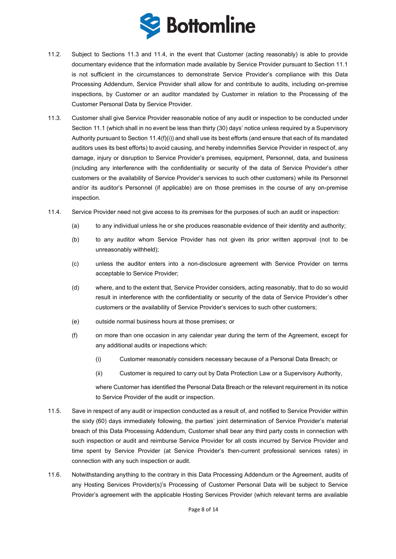

- 11.2. Subject to Sections [11.3](#page-7-0) and [11.4,](#page-7-1) in the event that Customer (acting reasonably) is able to provide documentary evidence that the information made available by Service Provider pursuant to Section [11.1](#page-6-5) is not sufficient in the circumstances to demonstrate Service Provider's compliance with this Data Processing Addendum, Service Provider shall allow for and contribute to audits, including on-premise inspections, by Customer or an auditor mandated by Customer in relation to the Processing of the Customer Personal Data by Service Provider.
- <span id="page-7-0"></span>11.3. Customer shall give Service Provider reasonable notice of any audit or inspection to be conducted under Section [11.1](#page-6-6) (which shall in no event be less than thirty (30) days' notice unless required by a Supervisory Authority pursuant to Section [11.4\(f\)\(i\)\)](#page-7-2) and shall use its best efforts (and ensure that each of its mandated auditors uses its best efforts) to avoid causing, and hereby indemnifies Service Provider in respect of, any damage, injury or disruption to Service Provider's premises, equipment, Personnel, data, and business (including any interference with the confidentiality or security of the data of Service Provider's other customers or the availability of Service Provider's services to such other customers) while its Personnel and/or its auditor's Personnel (if applicable) are on those premises in the course of any on-premise inspection.
- <span id="page-7-1"></span>11.4. Service Provider need not give access to its premises for the purposes of such an audit or inspection:
	- (a) to any individual unless he or she produces reasonable evidence of their identity and authority;
	- (b) to any auditor whom Service Provider has not given its prior written approval (not to be unreasonably withheld);
	- (c) unless the auditor enters into a non-disclosure agreement with Service Provider on terms acceptable to Service Provider;
	- (d) where, and to the extent that, Service Provider considers, acting reasonably, that to do so would result in interference with the confidentiality or security of the data of Service Provider's other customers or the availability of Service Provider's services to such other customers;
	- (e) outside normal business hours at those premises; or
	- (f) on more than one occasion in any calendar year during the term of the Agreement, except for any additional audits or inspections which:
		- (i) Customer reasonably considers necessary because of a Personal Data Breach; or
		- (ii) Customer is required to carry out by Data Protection Law or a Supervisory Authority,

<span id="page-7-2"></span>where Customer has identified the Personal Data Breach or the relevant requirement in its notice to Service Provider of the audit or inspection.

- 11.5. Save in respect of any audit or inspection conducted as a result of, and notified to Service Provider within the sixty (60) days immediately following, the parties' joint determination of Service Provider's material breach of this Data Processing Addendum, Customer shall bear any third party costs in connection with such inspection or audit and reimburse Service Provider for all costs incurred by Service Provider and time spent by Service Provider (at Service Provider's then-current professional services rates) in connection with any such inspection or audit.
- 11.6. Notwithstanding anything to the contrary in this Data Processing Addendum or the Agreement, audits of any Hosting Services Provider(s)'s Processing of Customer Personal Data will be subject to Service Provider's agreement with the applicable Hosting Services Provider (which relevant terms are available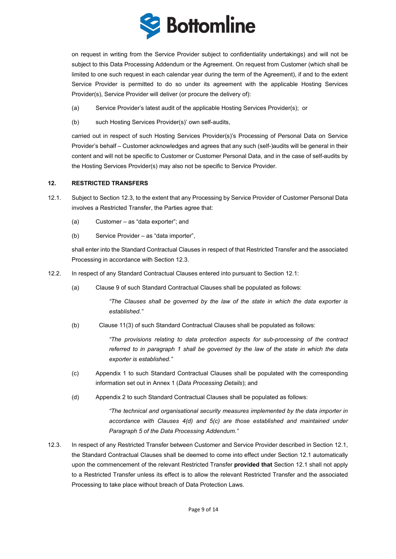

on request in writing from the Service Provider subject to confidentiality undertakings) and will not be subject to this Data Processing Addendum or the Agreement. On request from Customer (which shall be limited to one such request in each calendar year during the term of the Agreement), if and to the extent Service Provider is permitted to do so under its agreement with the applicable Hosting Services Provider(s), Service Provider will deliver (or procure the delivery of):

- (a) Service Provider's latest audit of the applicable Hosting Services Provider(s); or
- (b) such Hosting Services Provider(s)' own self-audits,

carried out in respect of such Hosting Services Provider(s)'s Processing of Personal Data on Service Provider's behalf – Customer acknowledges and agrees that any such (self-)audits will be general in their content and will not be specific to Customer or Customer Personal Data, and in the case of self-audits by the Hosting Services Provider(s) may also not be specific to Service Provider.

#### **12. RESTRICTED TRANSFERS**

- <span id="page-8-1"></span>12.1. Subject to Sectio[n 12.3,](#page-8-0) to the extent that any Processing by Service Provider of Customer Personal Data involves a Restricted Transfer, the Parties agree that:
	- (a) Customer as "data exporter"; and
	- (b) Service Provider as "data importer",

shall enter into the Standard Contractual Clauses in respect of that Restricted Transfer and the associated Processing in accordance with Sectio[n 12.3.](#page-8-0)

- 12.2. In respect of any Standard Contractual Clauses entered into pursuant to Sectio[n 12.1:](#page-8-1)
	- (a) Clause 9 of such Standard Contractual Clauses shall be populated as follows:

*"The Clauses shall be governed by the law of the state in which the data exporter is established."*

(b)Clause 11(3) of such Standard Contractual Clauses shall be populated as follows:

*"The provisions relating to data protection aspects for sub-processing of the contract referred to in paragraph 1 shall be governed by the law of the state in which the data exporter is established."*

- (c) Appendix 1 to such Standard Contractual Clauses shall be populated with the corresponding information set out in [Annex 1](#page-12-0) (*Data Processing Details*); and
- (d) Appendix 2 to such Standard Contractual Clauses shall be populated as follows:

*"The technical and organisational security measures implemented by the data importer in accordance with Clauses 4(d) and 5(c) are those established and maintained under Paragraph [5](#page-4-3) of the Data Processing Addendum."*

<span id="page-8-0"></span>12.3. In respect of any Restricted Transfer between Customer and Service Provider described in Section [12.1,](#page-8-1) the Standard Contractual Clauses shall be deemed to come into effect under Sectio[n 12.1](#page-8-1) automatically upon the commencement of the relevant Restricted Transfer **provided that** Section [12.1](#page-8-1) shall not apply to a Restricted Transfer unless its effect is to allow the relevant Restricted Transfer and the associated Processing to take place without breach of Data Protection Laws.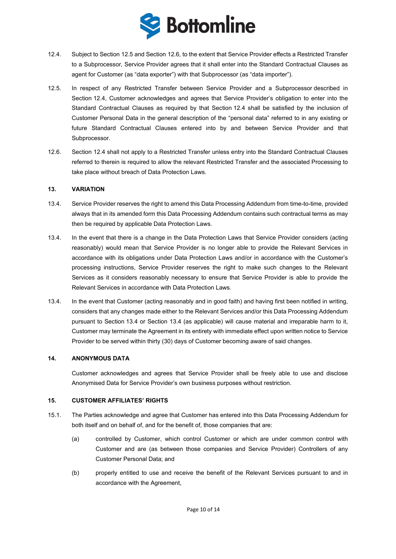

- <span id="page-9-7"></span><span id="page-9-2"></span>12.4. Subject to Section [12.5](#page-9-0) and Section [12.6,](#page-9-1) to the extent that Service Provider effects a Restricted Transfer to a Subprocessor, Service Provider agrees that it shall enter into the Standard Contractual Clauses as agent for Customer (as "data exporter") with that Subprocessor (as "data importer").
- <span id="page-9-0"></span>12.5. In respect of any Restricted Transfer between Service Provider and a Subprocessor described in Section [12.4,](#page-9-2) Customer acknowledges and agrees that Service Provider's obligation to enter into the Standard Contractual Clauses as required by that Section [12.4](#page-9-2) shall be satisfied by the inclusion of Customer Personal Data in the general description of the "personal data" referred to in any existing or future Standard Contractual Clauses entered into by and between Service Provider and that Subprocessor.
- <span id="page-9-1"></span>12.6. Sectio[n 12.4](#page-9-2) shall not apply to a Restricted Transfer unless entry into the Standard Contractual Clauses referred to therein is required to allow the relevant Restricted Transfer and the associated Processing to take place without breach of Data Protection Laws.

#### **13. VARIATION**

- <span id="page-9-3"></span>13.4. Service Provider reserves the right to amend this Data Processing Addendum from time-to-time, provided always that in its amended form this Data Processing Addendum contains such contractual terms as may then be required by applicable Data Protection Laws.
- <span id="page-9-4"></span>13.4. In the event that there is a change in the Data Protection Laws that Service Provider considers (acting reasonably) would mean that Service Provider is no longer able to provide the Relevant Services in accordance with its obligations under Data Protection Laws and/or in accordance with the Customer's processing instructions, Service Provider reserves the right to make such changes to the Relevant Services as it considers reasonably necessary to ensure that Service Provider is able to provide the Relevant Services in accordance with Data Protection Laws.
- 13.4. In the event that Customer (acting reasonably and in good faith) and having first been notified in writing, considers that any changes made either to the Relevant Services and/or this Data Processing Addendum pursuant to Section [13.4](#page-9-3) or Section [13.4](#page-9-4) (as applicable) will cause material and irreparable harm to it, Customer may terminate the Agreement in its entirety with immediate effect upon written notice to Service Provider to be served within thirty (30) days of Customer becoming aware of said changes.

### **14. ANONYMOUS DATA**

Customer acknowledges and agrees that Service Provider shall be freely able to use and disclose Anonymised Data for Service Provider's own business purposes without restriction.

#### **15. CUSTOMER AFFILIATES' RIGHTS**

- <span id="page-9-6"></span><span id="page-9-5"></span>15.1. The Parties acknowledge and agree that Customer has entered into this Data Processing Addendum for both itself and on behalf of, and for the benefit of, those companies that are:
	- (a) controlled by Customer, which control Customer or which are under common control with Customer and are (as between those companies and Service Provider) Controllers of any Customer Personal Data; and
	- (b) properly entitled to use and receive the benefit of the Relevant Services pursuant to and in accordance with the Agreement,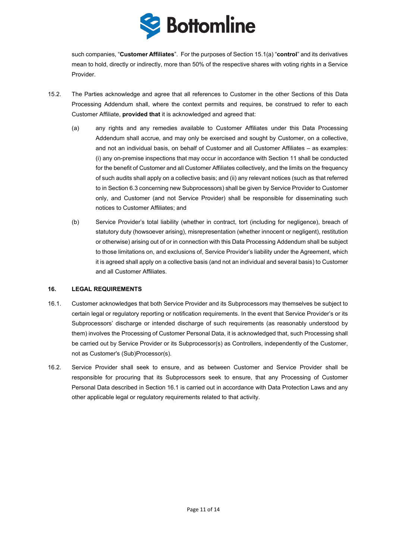

such companies, "**Customer Affiliates**". For the purposes of Section [15.1](#page-9-5)[\(a\)](#page-9-6) "**control**" and its derivatives mean to hold, directly or indirectly, more than 50% of the respective shares with voting rights in a Service Provider.

- 15.2. The Parties acknowledge and agree that all references to Customer in the other Sections of this Data Processing Addendum shall, where the context permits and requires, be construed to refer to each Customer Affiliate, **provided that** it is acknowledged and agreed that:
	- (a) any rights and any remedies available to Customer Affiliates under this Data Processing Addendum shall accrue, and may only be exercised and sought by Customer, on a collective, and not an individual basis, on behalf of Customer and all Customer Affiliates – as examples: (i) any on-premise inspections that may occur in accordance with Sectio[n 11](#page-6-7) shall be conducted for the benefit of Customer and all Customer Affiliates collectively, and the limits on the frequency of such audits shall apply on a collective basis; and (ii) any relevant notices (such as that referred to in Section [6.3](#page-4-1) concerning new Subprocessors) shall be given by Service Provider to Customer only, and Customer (and not Service Provider) shall be responsible for disseminating such notices to Customer Affiliates; and
	- (b) Service Provider's total liability (whether in contract, tort (including for negligence), breach of statutory duty (howsoever arising), misrepresentation (whether innocent or negligent), restitution or otherwise) arising out of or in connection with this Data Processing Addendum shall be subject to those limitations on, and exclusions of, Service Provider's liability under the Agreement, which it is agreed shall apply on a collective basis (and not an individual and several basis) to Customer and all Customer Affiliates.

#### **16. LEGAL REQUIREMENTS**

- <span id="page-10-0"></span>16.1. Customer acknowledges that both Service Provider and its Subprocessors may themselves be subject to certain legal or regulatory reporting or notification requirements. In the event that Service Provider's or its Subprocessors' discharge or intended discharge of such requirements (as reasonably understood by them) involves the Processing of Customer Personal Data, it is acknowledged that, such Processing shall be carried out by Service Provider or its Subprocessor(s) as Controllers, independently of the Customer, not as Customer's (Sub)Processor(s).
- 16.2. Service Provider shall seek to ensure, and as between Customer and Service Provider shall be responsible for procuring that its Subprocessors seek to ensure, that any Processing of Customer Personal Data described in Section [16.1](#page-10-0) is carried out in accordance with Data Protection Laws and any other applicable legal or regulatory requirements related to that activity.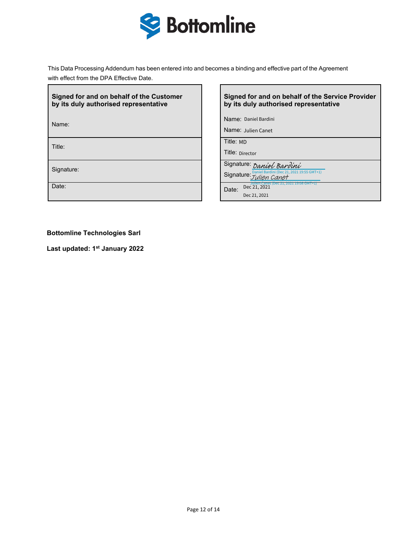

This Data Processing Addendum has been entered into and becomes a binding and effective part of the Agreement with effect from the DPA Effective Date.

| Signed for and on behalf of the Customer |
|------------------------------------------|
| by its duly authorised representative    |

Name:

Title:

## **Signed for and on behalf of the Service Provider by its duly authorised representative**

Name: Daniel Bardini

Name: Julien Canet

Title: MD

Title: Director

Signature: Signature: *[Daniel Bardini](https://salesforceintegration.na1.echosign.com/verifier?tx=CBJCHBCAABAARzKp3zxiMGFuQQ3ekHArFNKFZEsmhen9)*<br>
Signature: Signature: *Daniel Bardini (Dec 21, 2021 1* Daniel Bardini<br>
Julien Canet<br>
D<br>
rector<br>
IFE: Daniel Bardin<br>
IFE: Julien C<br>
Dec 21, 2021

Signature:  $J$ ulien Canet<sup>TO</sup> Canet 19:55 GMT+1)

Date: Date: Julien Canet (Dec 21, 2021 19:08 GMT+1) Julien Canet<br>D<br>rector<br>IFE: *Daniel Bardi<br>Dec 21, 2021*<br>Dec 21, 2021<br>Dec 21, 2021

**Bottomline Technologies Sarl**

**Last updated: 1st January 2022**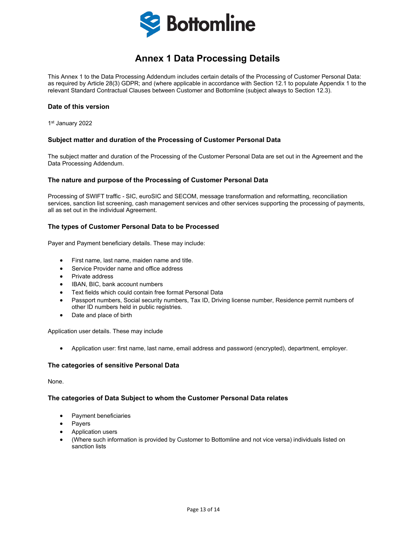

# **Annex 1 Data Processing Details**

<span id="page-12-1"></span><span id="page-12-0"></span>This Annex 1 to the Data Processing Addendum includes certain details of the Processing of Customer Personal Data: as required by Article 28(3) GDPR; and (where applicable in accordance with Section 12.1 to populate Appendix 1 to the relevant Standard Contractual Clauses between Customer and Bottomline (subject always to Section 12.3).

#### **Date of this version**

1st January 2022

### **Subject matter and duration of the Processing of Customer Personal Data**

The subject matter and duration of the Processing of the Customer Personal Data are set out in the Agreement and the Data Processing Addendum.

#### **The nature and purpose of the Processing of Customer Personal Data**

Processing of SWIFT traffic - SIC, euroSIC and SECOM, message transformation and reformatting, reconciliation services, sanction list screening, cash management services and other services supporting the processing of payments, all as set out in the individual Agreement.

### **The types of Customer Personal Data to be Processed**

Payer and Payment beneficiary details. These may include:

- First name, last name, maiden name and title.
- Service Provider name and office address
- Private address
- IBAN, BIC, bank account numbers
- Text fields which could contain free format Personal Data
- Passport numbers, Social security numbers, Tax ID, Driving license number, Residence permit numbers of other ID numbers held in public registries.
- Date and place of birth

Application user details. These may include

• Application user: first name, last name, email address and password (encrypted), department, employer.

#### **The categories of sensitive Personal Data**

None.

#### **The categories of Data Subject to whom the Customer Personal Data relates**

- Payment beneficiaries
- Payers
- Application users
- (Where such information is provided by Customer to Bottomline and not vice versa) individuals listed on sanction lists